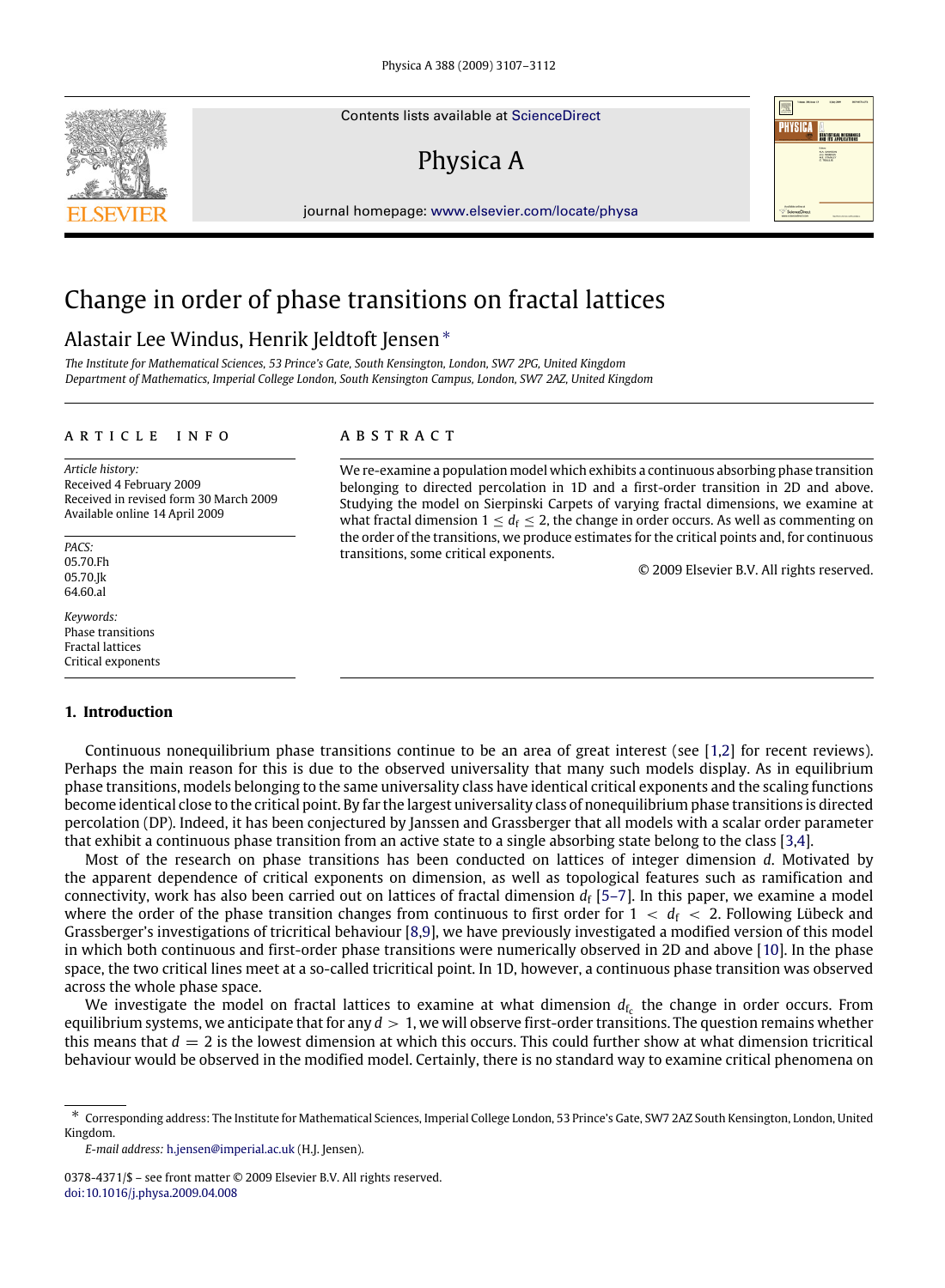Contents lists available at [ScienceDirect](http://www.elsevier.com/locate/physa)

# Physica A

journal homepage: [www.elsevier.com/locate/physa](http://www.elsevier.com/locate/physa)

## Change in order of phase transitions on fractal lattices

## Alastair Lee Windus, Henrik Jeldtoft Jensen[∗](#page-0-0)

*The Institute for Mathematical Sciences, 53 Prince's Gate, South Kensington, London, SW7 2PG, United Kingdom Department of Mathematics, Imperial College London, South Kensington Campus, London, SW7 2AZ, United Kingdom*

#### a r t i c l e i n f o

*Article history:* Received 4 February 2009 Received in revised form 30 March 2009 Available online 14 April 2009

*PACS:* 05.70.Fh 05.70.Jk 64.60.al

*Keywords:* Phase transitions Fractal lattices Critical exponents

### **1. Introduction**

## A R S T R A C T

We re-examine a population model which exhibits a continuous absorbing phase transition belonging to directed percolation in 1D and a first-order transition in 2D and above. Studying the model on Sierpinski Carpets of varying fractal dimensions, we examine at what fractal dimension  $1 \leq d_f \leq 2$ , the change in order occurs. As well as commenting on the order of the transitions, we produce estimates for the critical points and, for continuous transitions, some critical exponents.

© 2009 Elsevier B.V. All rights reserved.

Continuous nonequilibrium phase transitions continue to be an area of great interest (see [\[1,](#page-4-0)[2\]](#page-4-1) for recent reviews). Perhaps the main reason for this is due to the observed universality that many such models display. As in equilibrium phase transitions, models belonging to the same universality class have identical critical exponents and the scaling functions become identical close to the critical point. By far the largest universality class of nonequilibrium phase transitions is directed percolation (DP). Indeed, it has been conjectured by Janssen and Grassberger that all models with a scalar order parameter that exhibit a continuous phase transition from an active state to a single absorbing state belong to the class [\[3](#page-4-2)[,4\]](#page-4-3).

Most of the research on phase transitions has been conducted on lattices of integer dimension *d*. Motivated by the apparent dependence of critical exponents on dimension, as well as topological features such as ramification and connectivity, work has also been carried out on lattices of fractal dimension  $d_f$  [\[5–7\]](#page-4-4). In this paper, we examine a model where the order of the phase transition changes from continuous to first order for  $1 < d_f < 2$ . Following Lübeck and Grassberger's investigations of tricritical behaviour [\[8](#page-4-5)[,9\]](#page-4-6), we have previously investigated a modified version of this model in which both continuous and first-order phase transitions were numerically observed in 2D and above [\[10\]](#page-5-0). In the phase space, the two critical lines meet at a so-called tricritical point. In 1D, however, a continuous phase transition was observed across the whole phase space.

We investigate the model on fractal lattices to examine at what dimension  $d_{\rm fz}$  the change in order occurs. From equilibrium systems, we anticipate that for any  $d > 1$ , we will observe first-order transitions. The question remains whether this means that  $d = 2$  is the lowest dimension at which this occurs. This could further show at what dimension tricritical behaviour would be observed in the modified model. Certainly, there is no standard way to examine critical phenomena on

*E-mail address:* [h.jensen@imperial.ac.uk](mailto:h.jensen@imperial.ac.uk) (H.J. Jensen).





<span id="page-0-0"></span><sup>∗</sup> Corresponding address: The Institute for Mathematical Sciences, Imperial College London, 53 Prince's Gate, SW7 2AZ South Kensington, London, United Kingdom.

<sup>0378-4371/\$ –</sup> see front matter © 2009 Elsevier B.V. All rights reserved. [doi:10.1016/j.physa.2009.04.008](http://dx.doi.org/10.1016/j.physa.2009.04.008)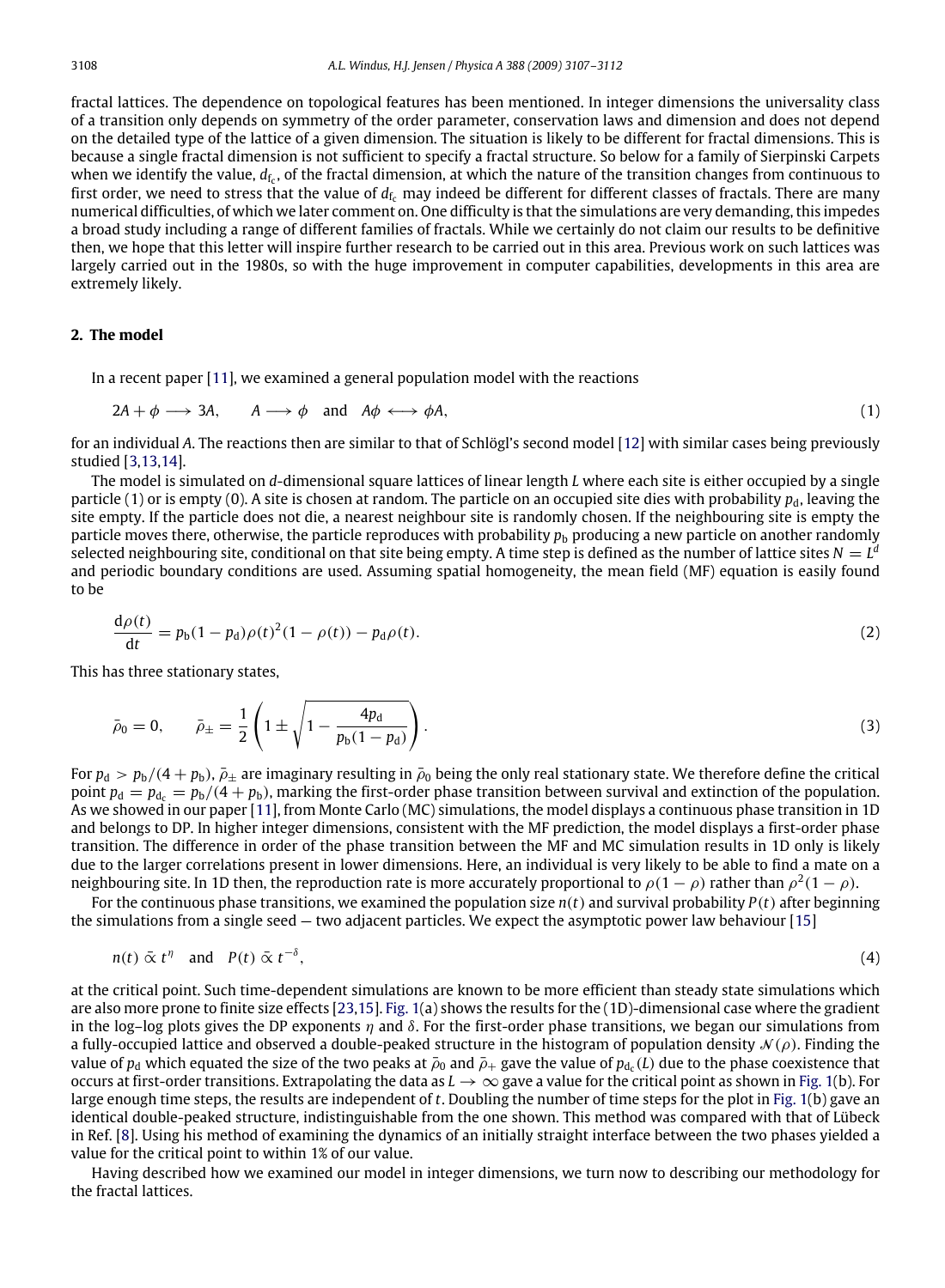fractal lattices. The dependence on topological features has been mentioned. In integer dimensions the universality class of a transition only depends on symmetry of the order parameter, conservation laws and dimension and does not depend on the detailed type of the lattice of a given dimension. The situation is likely to be different for fractal dimensions. This is because a single fractal dimension is not sufficient to specify a fractal structure. So below for a family of Sierpinski Carpets when we identify the value,  $d_{\rm fc}$ , of the fractal dimension, at which the nature of the transition changes from continuous to first order, we need to stress that the value of  $d_{f_c}$  may indeed be different for different classes of fractals. There are many numerical difficulties, of which we later comment on. One difficulty is that the simulations are very demanding, this impedes a broad study including a range of different families of fractals. While we certainly do not claim our results to be definitive then, we hope that this letter will inspire further research to be carried out in this area. Previous work on such lattices was largely carried out in the 1980s, so with the huge improvement in computer capabilities, developments in this area are extremely likely.

## **2. The model**

In a recent paper [\[11\]](#page-5-1), we examined a general population model with the reactions

$$
2A + \phi \longrightarrow 3A, \qquad A \longrightarrow \phi \quad \text{and} \quad A\phi \longleftrightarrow \phi A,\tag{1}
$$

for an individual *A*. The reactions then are similar to that of Schlögl's second model [\[12\]](#page-5-2) with similar cases being previously studied [\[3](#page-4-2)[,13,](#page-5-3)[14\]](#page-5-4).

The model is simulated on *d*-dimensional square lattices of linear length *L* where each site is either occupied by a single particle (1) or is empty (0). A site is chosen at random. The particle on an occupied site dies with probability  $p_d$ , leaving the site empty. If the particle does not die, a nearest neighbour site is randomly chosen. If the neighbouring site is empty the particle moves there, otherwise, the particle reproduces with probability  $p<sub>b</sub>$  producing a new particle on another randomly selected neighbouring site, conditional on that site being empty. A time step is defined as the number of lattice sites  $N=L^d$ and periodic boundary conditions are used. Assuming spatial homogeneity, the mean field (MF) equation is easily found to be

$$
\frac{d\rho(t)}{dt} = p_b(1 - p_d)\rho(t)^2(1 - \rho(t)) - p_d\rho(t).
$$
\n(2)

This has three stationary states,

$$
\bar{\rho}_0 = 0, \qquad \bar{\rho}_{\pm} = \frac{1}{2} \left( 1 \pm \sqrt{1 - \frac{4p_d}{p_b(1 - p_d)}} \right). \tag{3}
$$

For  $p_d$  >  $p_b/(4+p_b)$ ,  $\bar{p}_\pm$  are imaginary resulting in  $\bar{p}_0$  being the only real stationary state. We therefore define the critical point  $p_d = p_{d_c} = p_b/(4 + p_b)$ , marking the first-order phase transition between survival and extinction of the population. As we showed in our paper [\[11\]](#page-5-1), from Monte Carlo (MC) simulations, the model displays a continuous phase transition in 1D and belongs to DP. In higher integer dimensions, consistent with the MF prediction, the model displays a first-order phase transition. The difference in order of the phase transition between the MF and MC simulation results in 1D only is likely due to the larger correlations present in lower dimensions. Here, an individual is very likely to be able to find a mate on a neighbouring site. In 1D then, the reproduction rate is more accurately proportional to  $\rho(1-\rho)$  rather than  $\rho^2(1-\rho)$ .

For the continuous phase transitions, we examined the population size *n*(*t*) and survival probability *P*(*t*) after beginning the simulations from a single seed — two adjacent particles. We expect the asymptotic power law behaviour [\[15\]](#page-5-5)

$$
n(t) \,\,\bar{\alpha} \,\, t^{\eta} \quad \text{and} \quad P(t) \,\,\bar{\alpha} \,\, t^{-\delta}, \tag{4}
$$

at the critical point. Such time-dependent simulations are known to be more efficient than steady state simulations which are also more prone to finite size effects [\[23](#page-5-6)[,15\]](#page-5-5). [Fig. 1\(](#page-2-0)a) shows the results for the (1D)-dimensional case where the gradient in the log–log plots gives the DP exponents  $\eta$  and  $\delta$ . For the first-order phase transitions, we began our simulations from a fully-occupied lattice and observed a double-peaked structure in the histogram of population density  $\mathcal{N}(\rho)$ . Finding the value of  $p_d$  which equated the size of the two peaks at  $\bar\rho_0$  and  $\bar\rho_+$  gave the value of  $p_{d_c}(L)$  due to the phase coexistence that occurs at first-order transitions. Extrapolating the data as  $L \to \infty$  gave a value for the critical point as shown in [Fig. 1\(](#page-2-0)b). For large enough time steps, the results are independent of *t*. Doubling the number of time steps for the plot in [Fig. 1\(](#page-2-0)b) gave an identical double-peaked structure, indistinguishable from the one shown. This method was compared with that of Lübeck in Ref. [\[8\]](#page-4-5). Using his method of examining the dynamics of an initially straight interface between the two phases yielded a value for the critical point to within 1% of our value.

Having described how we examined our model in integer dimensions, we turn now to describing our methodology for the fractal lattices.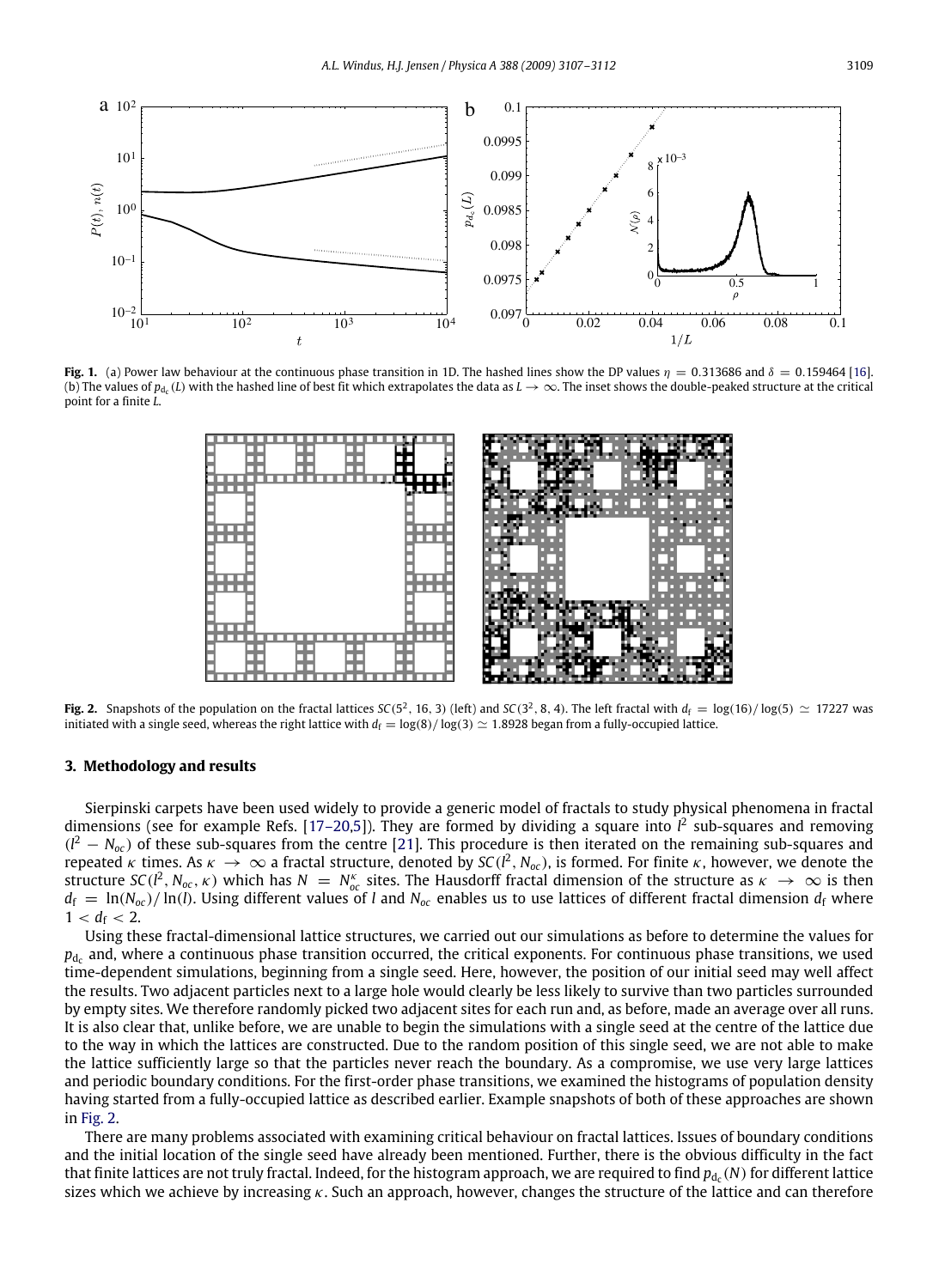<span id="page-2-0"></span>

<span id="page-2-1"></span>**Fig. 1.** (a) Power law behaviour at the continuous phase transition in 1D. The hashed lines show the DP values  $\eta = 0.313686$  and  $\delta = 0.159464$  [\[16\]](#page-5-7). (b) The values of  $p_{d_c}(L)$  with the hashed line of best fit which extrapolates the data as  $L \to \infty$ . The inset shows the double-peaked structure at the critical point for a finite *L*.



**Fig. 2.** Snapshots of the population on the fractal lattices *SC*(5<sup>2</sup>, 16, 3) (left) and *SC*(3<sup>2</sup>, 8, 4). The left fractal with  $d_f = \log(16)/\log(5) \approx 17227$  was initiated with a single seed, whereas the right lattice with  $d_f = \log(8)/\log(3) \approx 1.8928$  began from a fully-occupied lattice.

### **3. Methodology and results**

Sierpinski carpets have been used widely to provide a generic model of fractals to study physical phenomena in fractal dimensions (see for example Refs. [\[17–20,](#page-5-8)[5\]](#page-4-4)). They are formed by dividing a square into  $l^2$  sub-squares and removing  $(l^2 - N_{oc})$  of these sub-squares from the centre [\[21\]](#page-5-9). This procedure is then iterated on the remaining sub-squares and repeated  $\kappa$  times. As  $\kappa\to\infty$  a fractal structure, denoted by SC( $l^2$ , N<sub>oc</sub>), is formed. For finite  $\kappa$ , however, we denote the structure  $SC(l^2, N_{oc}, \kappa)$  which has  $N = N_{oc}^{\kappa}$  sites. The Hausdorff fractal dimension of the structure as  $\kappa \to \infty$  is then  $d_f = \ln(N_{oc})/\ln(l)$ . Using different values of *l* and  $N_{oc}$  enables us to use lattices of different fractal dimension  $d_f$  where  $1 < d_f < 2$ .

Using these fractal-dimensional lattice structures, we carried out our simulations as before to determine the values for  $p_{\rm d_c}$  and, where a continuous phase transition occurred, the critical exponents. For continuous phase transitions, we used time-dependent simulations, beginning from a single seed. Here, however, the position of our initial seed may well affect the results. Two adjacent particles next to a large hole would clearly be less likely to survive than two particles surrounded by empty sites. We therefore randomly picked two adjacent sites for each run and, as before, made an average over all runs. It is also clear that, unlike before, we are unable to begin the simulations with a single seed at the centre of the lattice due to the way in which the lattices are constructed. Due to the random position of this single seed, we are not able to make the lattice sufficiently large so that the particles never reach the boundary. As a compromise, we use very large lattices and periodic boundary conditions. For the first-order phase transitions, we examined the histograms of population density having started from a fully-occupied lattice as described earlier. Example snapshots of both of these approaches are shown in [Fig. 2.](#page-2-1)

There are many problems associated with examining critical behaviour on fractal lattices. Issues of boundary conditions and the initial location of the single seed have already been mentioned. Further, there is the obvious difficulty in the fact that finite lattices are not truly fractal. Indeed, for the histogram approach, we are required to find  $p_{\rm {d_c}}(N)$  for different lattice sizes which we achieve by increasing  $\kappa$ . Such an approach, however, changes the structure of the lattice and can therefore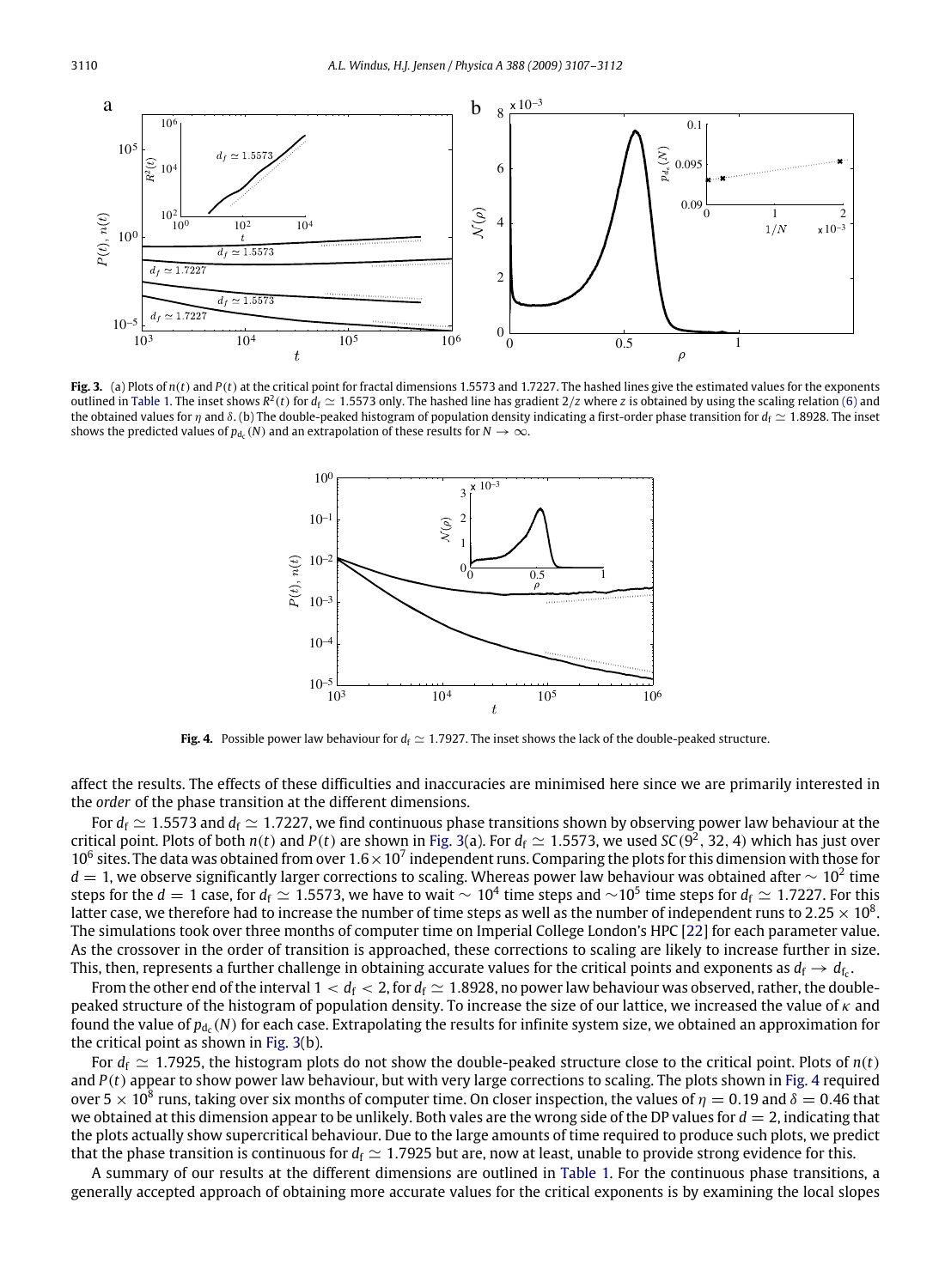<span id="page-3-0"></span>

<span id="page-3-1"></span>**Fig. 3.** (a) Plots of  $n(t)$  and  $P(t)$  at the critical point for fractal dimensions 1.5573 and 1.7227. The hashed lines give the estimated values for the exponents outlined in [Table 1.](#page-4-7) The inset shows  $R^2(t)$  for  $d_f \simeq 1.5573$  only. The hashed line has gradient  $2/z$  where *z* is obtained by using the scaling relation [\(6\)](#page-4-8) and the obtained values for  $\eta$  and  $\delta$ . (b) The double-peaked histogram of population density indicating a first-order phase transition for  $d_f \simeq 1.8928$ . The inset shows the predicted values of  $p_{d_c}(N)$  and an extrapolation of these results for  $N \to \infty$ .



**Fig. 4.** Possible power law behaviour for  $d_f \approx 1.7927$ . The inset shows the lack of the double-peaked structure.

affect the results. The effects of these difficulties and inaccuracies are minimised here since we are primarily interested in the *order* of the phase transition at the different dimensions.

For  $d_f \simeq 1.5573$  and  $d_f \simeq 1.7227$ , we find continuous phase transitions shown by observing power law behaviour at the critical point. Plots of both  $n(t)$  and  $P(t)$  are shown in [Fig. 3\(](#page-3-0)a). For  $d_f \simeq 1.5573$ , we used  $SC(9^2, 32, 4)$  which has just over 10<sup>6</sup> sites. The data was obtained from over  $1.6 \times 10^7$  independent runs. Comparing the plots for this dimension with those for  $d=1$ , we observe significantly larger corrections to scaling. Whereas power law behaviour was obtained after  $\sim 10^2$  time steps for the  $d=1$  case, for  $d_f\simeq 1.5573$ , we have to wait  $\sim 10^4$  time steps and  $\sim$ 10<sup>5</sup> time steps for  $d_f\simeq 1.7227$ . For this latter case, we therefore had to increase the number of time steps as well as the number of independent runs to 2.25  $\times$  10<sup>8</sup>. The simulations took over three months of computer time on Imperial College London's HPC [\[22\]](#page-5-10) for each parameter value. As the crossover in the order of transition is approached, these corrections to scaling are likely to increase further in size. This, then, represents a further challenge in obtaining accurate values for the critical points and exponents as  $d_f\to d_{f_c}$ .

From the other end of the interval  $1 < d_f < 2$ , for  $d_f \simeq 1.8928$ , no power law behaviour was observed, rather, the doublepeaked structure of the histogram of population density. To increase the size of our lattice, we increased the value of  $\kappa$  and found the value of  $p_{d_c}(N)$  for each case. Extrapolating the results for infinite system size, we obtained an approximation for the critical point as shown in [Fig. 3\(](#page-3-0)b).

For  $d_f \simeq 1.7925$ , the histogram plots do not show the double-peaked structure close to the critical point. Plots of  $n(t)$ and  $P(t)$  appear to show power law behaviour, but with very large corrections to scaling. The plots shown in [Fig. 4](#page-3-1) required over 5  $\times$  10<sup>8</sup> runs, taking over six months of computer time. On closer inspection, the values of  $\eta=0.19$  and  $\delta=0.46$  that we obtained at this dimension appear to be unlikely. Both vales are the wrong side of the DP values for  $d = 2$ , indicating that the plots actually show supercritical behaviour. Due to the large amounts of time required to produce such plots, we predict that the phase transition is continuous for  $d_f \simeq 1.7925$  but are, now at least, unable to provide strong evidence for this.

A summary of our results at the different dimensions are outlined in [Table 1.](#page-4-7) For the continuous phase transitions, a generally accepted approach of obtaining more accurate values for the critical exponents is by examining the local slopes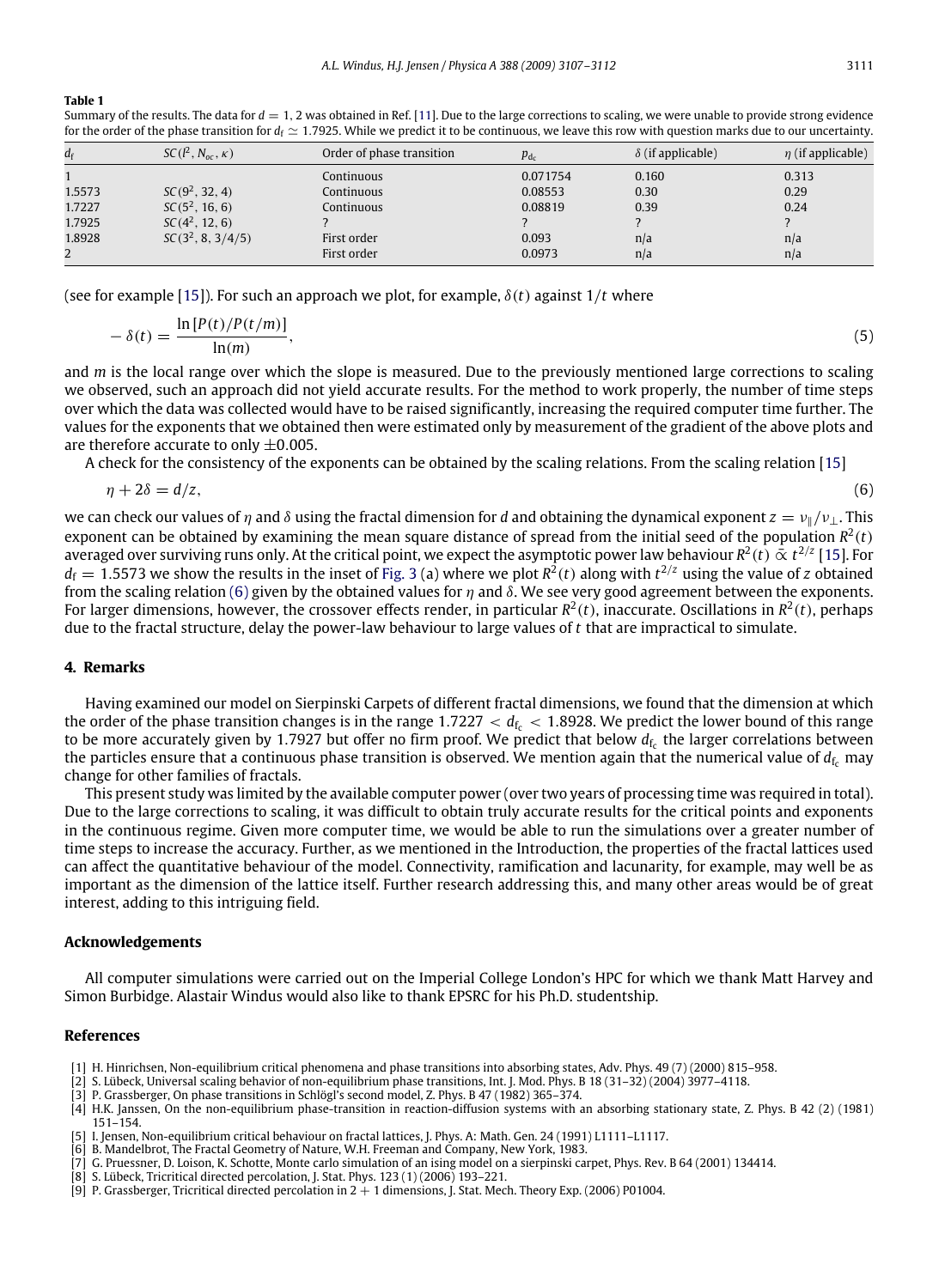#### <span id="page-4-7"></span>**Table 1**

Summary of the results. The data for  $d = 1$ , 2 was obtained in Ref. [\[11\]](#page-5-1). Due to the large corrections to scaling, we were unable to provide strong evidence for the order of the phase transition for  $d_f \simeq 1.7925$ . While we predict it to be continuous, we leave this row with question marks due to our uncertainty.

| $d_{\rm f}$ | $SC(l^2, N_{oc}, \kappa)$ | Order of phase transition | $p_{d_c}$ | $\delta$ (if applicable) | $\eta$ (if applicable) |
|-------------|---------------------------|---------------------------|-----------|--------------------------|------------------------|
|             |                           | Continuous                | 0.071754  | 0.160                    | 0.313                  |
| 1.5573      | $SC(9^2, 32, 4)$          | Continuous                | 0.08553   | 0.30                     | 0.29                   |
| 1.7227      | $SC(5^2, 16, 6)$          | Continuous                | 0.08819   | 0.39                     | 0.24                   |
| 1.7925      | $SC(4^2, 12, 6)$          |                           |           |                          |                        |
| 1.8928      | $SC(3^2, 8, 3/4/5)$       | First order               | 0.093     | n/a                      | n/a                    |
| 2           |                           | First order               | 0.0973    | n/a                      | n/a                    |

(see for example [\[15\]](#page-5-5)). For such an approach we plot, for example,  $\delta(t)$  against 1/*t* where

$$
-\delta(t) = \frac{\ln[P(t)/P(t/m)]}{\ln(m)},
$$
\n(5)

and *m* is the local range over which the slope is measured. Due to the previously mentioned large corrections to scaling we observed, such an approach did not yield accurate results. For the method to work properly, the number of time steps over which the data was collected would have to be raised significantly, increasing the required computer time further. The values for the exponents that we obtained then were estimated only by measurement of the gradient of the above plots and are therefore accurate to only  $\pm 0.005$ .

A check for the consistency of the exponents can be obtained by the scaling relations. From the scaling relation [\[15\]](#page-5-5)

<span id="page-4-8"></span>
$$
\eta + 2\delta = d/z,\tag{6}
$$

we can check our values of  $\eta$  and  $\delta$  using the fractal dimension for *d* and obtaining the dynamical exponent  $z = v_{\parallel}/v_{\perp}$ . This exponent can be obtained by examining the mean square distance of spread from the initial seed of the population  $R^2(t)$ averaged over surviving runs only. At the critical point, we expect the asymptotic power law behaviour  $R^2(t)\mathbin{\bar{\propto}} t^{2/z}$  [\[15\]](#page-5-5). For  $d_f = 1.5573$  we show the results in the inset of [Fig. 3](#page-3-0) (a) where we plot  $R^2(t)$  along with  $t^{2/z}$  using the value of *z* obtained from the scaling relation [\(6\)](#page-4-8) given by the obtained values for  $\eta$  and  $\delta$ . We see very good agreement between the exponents. For larger dimensions, however, the crossover effects render, in particular  $R^2(t)$ , inaccurate. Oscillations in  $R^2(t)$ , perhaps due to the fractal structure, delay the power-law behaviour to large values of *t* that are impractical to simulate.

## **4. Remarks**

Having examined our model on Sierpinski Carpets of different fractal dimensions, we found that the dimension at which the order of the phase transition changes is in the range  $1.7227 < d_{\rm fr} < 1.8928$ . We predict the lower bound of this range to be more accurately given by 1.7927 but offer no firm proof. We predict that below  $d_{\rm f_{\rm c}}$  the larger correlations between the particles ensure that a continuous phase transition is observed. We mention again that the numerical value of  $d_f$  may change for other families of fractals.

This present study was limited by the available computer power (over two years of processing time was required in total). Due to the large corrections to scaling, it was difficult to obtain truly accurate results for the critical points and exponents in the continuous regime. Given more computer time, we would be able to run the simulations over a greater number of time steps to increase the accuracy. Further, as we mentioned in the Introduction, the properties of the fractal lattices used can affect the quantitative behaviour of the model. Connectivity, ramification and lacunarity, for example, may well be as important as the dimension of the lattice itself. Further research addressing this, and many other areas would be of great interest, adding to this intriguing field.

#### **Acknowledgements**

All computer simulations were carried out on the Imperial College London's HPC for which we thank Matt Harvey and Simon Burbidge. Alastair Windus would also like to thank EPSRC for his Ph.D. studentship.

### **References**

- <span id="page-4-0"></span>[1] H. Hinrichsen, Non-equilibrium critical phenomena and phase transitions into absorbing states, Adv. Phys. 49 (7) (2000) 815–958.
- <span id="page-4-1"></span>[2] S. Lübeck, Universal scaling behavior of non-equilibrium phase transitions, Int. J. Mod. Phys. B 18 (31–32) (2004) 3977–4118.
- <span id="page-4-2"></span>[3] P. Grassberger, On phase transitions in Schlögl's second model, Z. Phys. B 47 (1982) 365–374.

- <span id="page-4-4"></span>[5] I. Jensen, Non-equilibrium critical behaviour on fractal lattices, J. Phys. A: Math. Gen. 24 (1991) L1111–L1117.
- B. Mandelbrot, The Fractal Geometry of Nature, W.H. Freeman and Company, New York, 1983.
- [7] G. Pruessner, D. Loison, K. Schotte, Monte carlo simulation of an ising model on a sierpinski carpet, Phys. Rev. B 64 (2001) 134414.
- <span id="page-4-5"></span>[8] S. Lübeck, Tricritical directed percolation, J. Stat. Phys. 123 (1) (2006) 193–221.
- <span id="page-4-6"></span>[9] P. Grassberger, Tricritical directed percolation in 2 + 1 dimensions, J. Stat. Mech. Theory Exp. (2006) P01004.

<span id="page-4-3"></span><sup>[4]</sup> H.K. Janssen, On the non-equilibrium phase-transition in reaction-diffusion systems with an absorbing stationary state, Z. Phys. B 42 (2) (1981) 151–154.